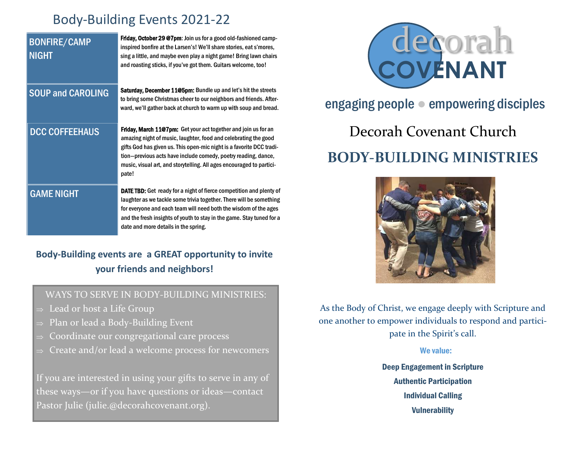# Body-Building Events 2021-22

| <b>BONFIRE/CAMP</b><br><b>NIGHT</b> | <b>Friday, October 29 @7pm:</b> Join us for a good old-fashioned camp-<br>inspired bonfire at the Larsen's! We'll share stories, eat s'mores,<br>sing a little, and maybe even play a night game! Bring lawn chairs<br>and roasting sticks, if you've got them. Guitars welcome, too!                                                                               |
|-------------------------------------|---------------------------------------------------------------------------------------------------------------------------------------------------------------------------------------------------------------------------------------------------------------------------------------------------------------------------------------------------------------------|
| <b>SOUP and CAROLING</b>            | <b>Saturday, December 11@5pm:</b> Bundle up and let's hit the streets<br>to bring some Christmas cheer to our neighbors and friends. After-<br>ward, we'll gather back at church to warm up with soup and bread.                                                                                                                                                    |
| <b>DCC COFFEEHAUS</b>               | <b>Friday, March 11@7pm:</b> Get your act together and join us for an<br>amazing night of music, laughter, food and celebrating the good<br>gifts God has given us. This open-mic night is a favorite DCC tradi-<br>tion-previous acts have include comedy, poetry reading, dance,<br>music, visual art, and storytelling. All ages encouraged to partici-<br>pate! |
| <b>GAME NIGHT</b>                   | <b>DATE TBD:</b> Get ready for a night of fierce competition and plenty of<br>laughter as we tackle some trivia together. There will be something<br>for everyone and each team will need both the wisdom of the ages<br>and the fresh insights of youth to stay in the game. Stay tuned for a<br>date and more details in the spring.                              |

## **Body-Building events are a GREAT opportunity to invite your friends and neighbors!**

## WAYS TO SERVE IN BODY-BUILDING MINISTRIES:

- $\Rightarrow$  Lead or host a Life Group
- Plan or lead a Body-Building Event
- Coordinate our congregational care process
- Create and/or lead a welcome process for newcomers

If you are interested in using your gifts to serve in any of these ways—or if you have questions or ideas—contact Pastor Julie (julie.@decorahcovenant.org).



# engaging people ● empowering disciples

# Decorah Covenant Church **BODY-BUILDING MINISTRIES**



As the Body of Christ, we engage deeply with Scripture and one another to empower individuals to respond and participate in the Spirit's call.

#### We value:

Deep Engagement in Scripture Authentic Participation Individual Calling **Vulnerability**